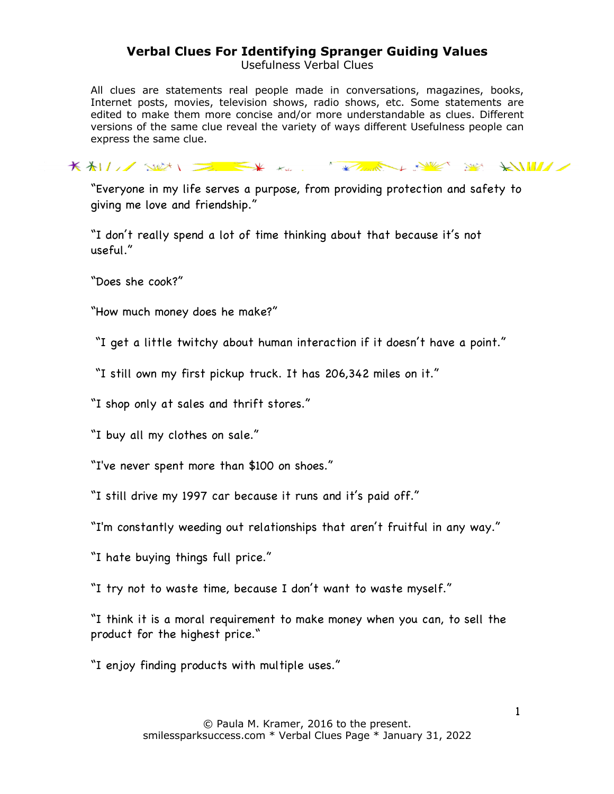## **Verbal Clues For Identifying Spranger Guiding Values**

Usefulness Verbal Clues

All clues are statements real people made in conversations, magazines, books, Internet posts, movies, television shows, radio shows, etc. Some statements are edited to make them more concise and/or more understandable as clues. Different versions of the same clue reveal the variety of ways different Usefulness people can express the same clue.

KALL SEN EXTREMELY SERVER SERVER

"Everyone in my life serves a purpose, from providing protection and safety to giving me love and friendship."

"I don't really spend a lot of time thinking about that because it's not useful."

"Does she cook?"

"How much money does he make?"

"I get a little twitchy about human interaction if it doesn't have a point."

"I still own my first pickup truck. It has 206,342 miles on it."

"I shop only at sales and thrift stores."

"I buy all my clothes on sale."

"I've never spent more than \$100 on shoes."

"I still drive my 1997 car because it runs and it's paid off."

"I'm constantly weeding out relationships that aren't fruitful in any way."

"I hate buying things full price."

"I try not to waste time, because I don't want to waste myself."

"I think it is a moral requirement to make money when you can, to sell the product for the highest price."

"I enjoy finding products with multiple uses."